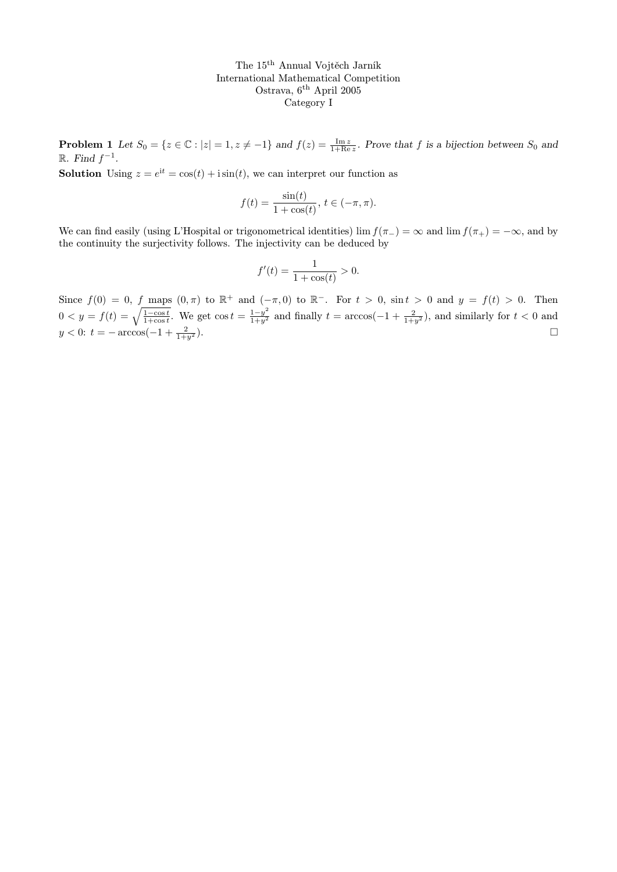The 15th Annual Vojtěch Jarník International Mathematical Competition Ostrava, 6<sup>th</sup> April 2005 Category I

**Problem 1** Let  $S_0 = \{z \in \mathbb{C} : |z| = 1, z \neq -1\}$  and  $f(z) = \frac{\text{Im } z}{1 + \text{Re } z}$ . Prove that f is a bijection between  $S_0$  and  $\mathbb{R}$ . Find  $f^{-1}$ .

**Solution** Using  $z = e^{it} = \cos(t) + i\sin(t)$ , we can interpret our function as

$$
f(t) = \frac{\sin(t)}{1 + \cos(t)}, \, t \in (-\pi, \pi).
$$

We can find easily (using L'Hospital or trigonometrical identities) lim  $f(\pi_{-}) = \infty$  and lim  $f(\pi_{+}) = -\infty$ , and by the continuity the surjectivity follows. The injectivity can be deduced by

$$
f'(t) = \frac{1}{1 + \cos(t)} > 0.
$$

Since  $f(0) = 0$ , f maps  $(0, \pi)$  to  $\mathbb{R}^+$  and  $(-\pi, 0)$  to  $\mathbb{R}^-$ . For  $t > 0$ ,  $\sin t > 0$  and  $y = f(t) > 0$ . Then  $0 < y = f(t) = \sqrt{\frac{1-\cos t}{1+\cos t}}$ . We get  $\cos t = \frac{1-y^2}{1+y^2}$  and finally  $t = \arccos(-1 + \frac{2}{1+y^2})$ , and similarly for  $t < 0$  and  $y < 0$ :  $t = -\arccos(-1 + \frac{2}{1+y^2})$ .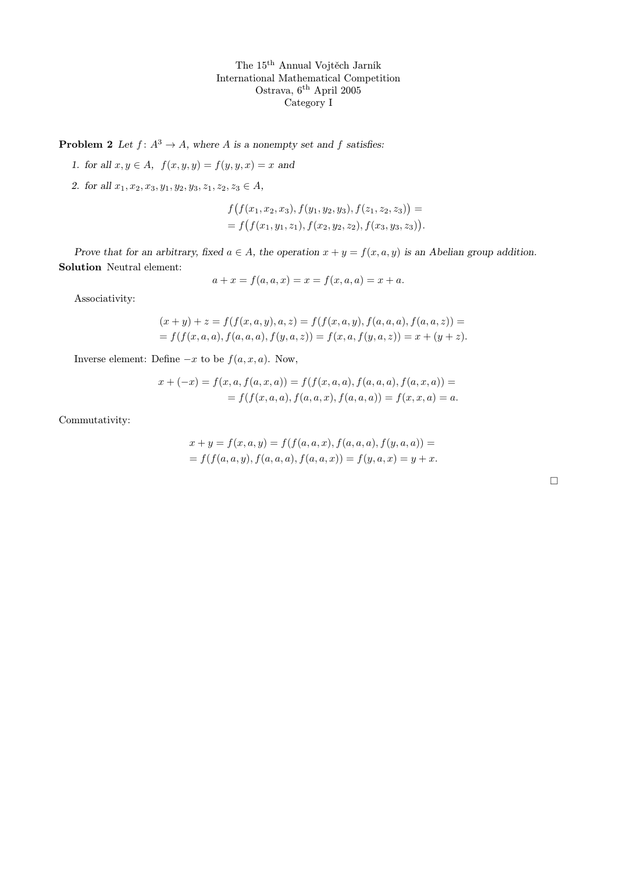The 15th Annual Vojtěch Jarník International Mathematical Competition Ostrava, 6th April 2005 Category I

**Problem 2** Let  $f: A^3 \to A$ , where A is a nonempty set and f satisfies:

- 1. for all  $x, y \in A$ ,  $f(x, y, y) = f(y, y, x) = x$  and
- 2. for all  $x_1, x_2, x_3, y_1, y_2, y_3, z_1, z_2, z_3 \in A$ ,

$$
f(f(x_1, x_2, x_3), f(y_1, y_2, y_3), f(z_1, z_2, z_3)) = = f(f(x_1, y_1, z_1), f(x_2, y_2, z_2), f(x_3, y_3, z_3)).
$$

Prove that for an arbitrary, fixed  $a \in A$ , the operation  $x + y = f(x, a, y)$  is an Abelian group addition. Solution Neutral element:

$$
a + x = f(a, a, x) = x = f(x, a, a) = x + a.
$$

Associativity:

$$
(x + y) + z = f(f(x, a, y), a, z) = f(f(x, a, y), f(a, a, a), f(a, a, z)) =
$$
  
=  $f(f(x, a, a), f(a, a, a), f(y, a, z)) = f(x, a, f(y, a, z)) = x + (y + z).$ 

Inverse element: Define  $-x$  to be  $f(a, x, a)$ . Now,

$$
x + (-x) = f(x, a, f(a, x, a)) = f(f(x, a, a), f(a, a, a), f(a, x, a)) =
$$
  
=  $f(f(x, a, a), f(a, a, x), f(a, a, a)) = f(x, x, a) = a.$ 

Commutativity:

$$
x + y = f(x, a, y) = f(f(a, a, x), f(a, a, a), f(y, a, a)) =
$$
  
=  $f(f(a, a, y), f(a, a, a), f(a, a, x)) = f(y, a, x) = y + x.$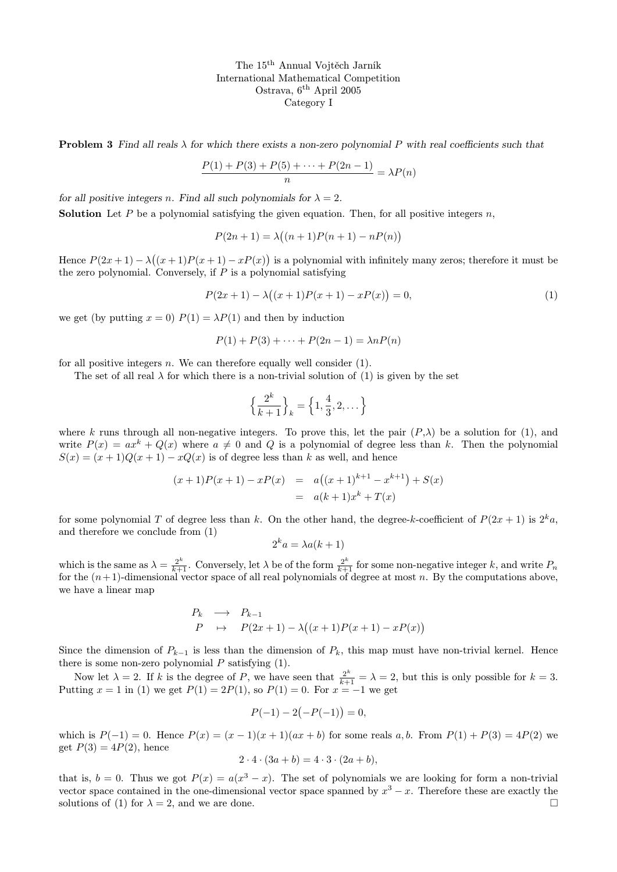The 15th Annual Vojtěch Jarník International Mathematical Competition Ostrava, 6th April 2005 Category I

**Problem 3** Find all reals  $\lambda$  for which there exists a non-zero polynomial P with real coefficients such that

$$
\frac{P(1) + P(3) + P(5) + \dots + P(2n - 1)}{n} = \lambda P(n)
$$

for all positive integers n. Find all such polynomials for  $\lambda = 2$ .

**Solution** Let P be a polynomial satisfying the given equation. Then, for all positive integers n,

$$
P(2n + 1) = \lambda((n + 1)P(n + 1) - nP(n))
$$

Hence  $P(2x+1) - \lambda((x+1)P(x+1) - xP(x))$  is a polynomial with infinitely many zeros; therefore it must be the zero polynomial. Conversely, if  $P$  is a polynomial satisfying

$$
P(2x+1) - \lambda((x+1)P(x+1) - xP(x)) = 0,
$$
\n(1)

we get (by putting  $x = 0$ )  $P(1) = \lambda P(1)$  and then by induction

$$
P(1) + P(3) + \dots + P(2n - 1) = \lambda n P(n)
$$

for all positive integers n. We can therefore equally well consider  $(1)$ .

The set of all real  $\lambda$  for which there is a non-trivial solution of (1) is given by the set

$$
\left\{\frac{2^k}{k+1}\right\}_k = \left\{1, \frac{4}{3}, 2, \dots\right\}
$$

where k runs through all non-negative integers. To prove this, let the pair  $(P, \lambda)$  be a solution for (1), and write  $P(x) = ax^k + Q(x)$  where  $a \neq 0$  and Q is a polynomial of degree less than k. Then the polynomial  $S(x) = (x+1)Q(x+1) - xQ(x)$  is of degree less than k as well, and hence

$$
(x+1)P(x+1) - xP(x) = a((x+1)^{k+1} - x^{k+1}) + S(x)
$$
  
= a(k+1)x<sup>k</sup> + T(x)

for some polynomial T of degree less than k. On the other hand, the degree-k-coefficient of  $P(2x + 1)$  is  $2^k a$ , and therefore we conclude from (1)

$$
2^k a = \lambda a(k+1)
$$

which is the same as  $\lambda = \frac{2^k}{k+1}$ . Conversely, let  $\lambda$  be of the form  $\frac{2^k}{k+1}$  for some non-negative integer k, and write  $P_n$ for the  $(n+1)$ -dimensional vector space of all real polynomials of degree at most n. By the computations above, we have a linear map

$$
\begin{array}{rcl}\nP_k & \longrightarrow & P_{k-1} \\
P & \mapsto & P(2x+1) - \lambda((x+1)P(x+1) - xP(x))\n\end{array}
$$

Since the dimension of  $P_{k-1}$  is less than the dimension of  $P_k$ , this map must have non-trivial kernel. Hence there is some non-zero polynomial  $P$  satisfying  $(1)$ .

Now let  $\lambda = 2$ . If k is the degree of P, we have seen that  $\frac{2^k}{k+1} = \lambda = 2$ , but this is only possible for  $k = 3$ . Putting  $x = 1$  in (1) we get  $P(1) = 2P(1)$ , so  $P(1) = 0$ . For  $x = -1$  we get

$$
P(-1) - 2(-P(-1)) = 0,
$$

which is  $P(-1) = 0$ . Hence  $P(x) = (x - 1)(x + 1)(ax + b)$  for some reals a, b. From  $P(1) + P(3) = 4P(2)$  we get  $P(3) = 4P(2)$ , hence

$$
2 \cdot 4 \cdot (3a + b) = 4 \cdot 3 \cdot (2a + b),
$$

that is,  $b = 0$ . Thus we got  $P(x) = a(x^3 - x)$ . The set of polynomials we are looking for form a non-trivial vector space contained in the one-dimensional vector space spanned by  $x^3 - x$ . Therefore these are exactly the solutions of (1) for  $\lambda = 2$ , and we are done.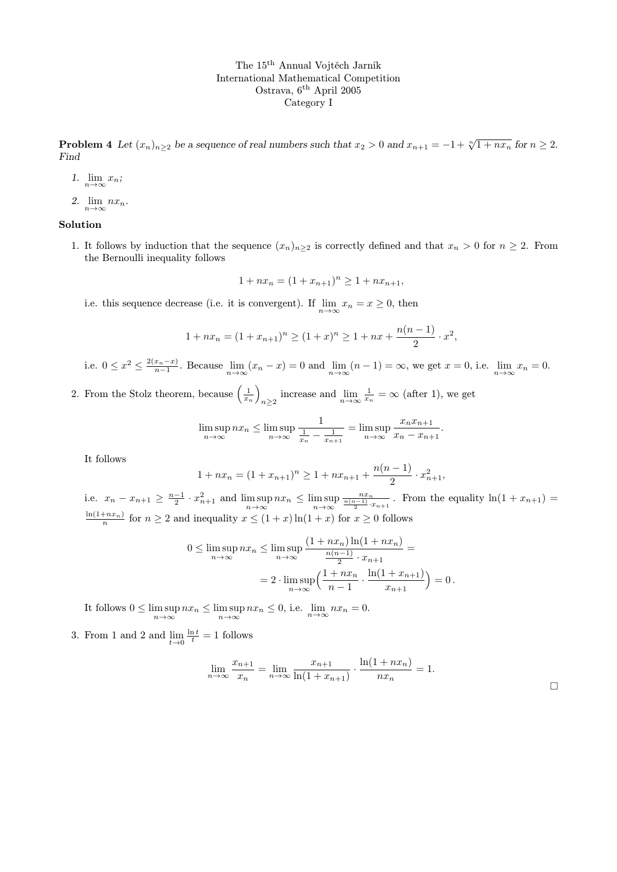## The 15th Annual Vojtěch Jarník International Mathematical Competition Ostrava, 6<sup>th</sup> April 2005 Category I

**Problem 4** Let  $(x_n)_{n\geq 2}$  be a sequence of real numbers such that  $x_2 > 0$  and  $x_{n+1} = -1 + \sqrt[n]{1 + nx_n}$  for  $n \geq 2$ . Find

- 1.  $\lim_{n\to\infty}x_n;$
- 2.  $\lim_{n\to\infty} nx_n$ .

## Solution

1. It follows by induction that the sequence  $(x_n)_{n\geq 2}$  is correctly defined and that  $x_n > 0$  for  $n \geq 2$ . From the Bernoulli inequality follows

$$
1 + nx_n = (1 + x_{n+1})^n \ge 1 + nx_{n+1},
$$

i.e. this sequence decrease (i.e. it is convergent). If  $\lim_{n\to\infty} x_n = x \geq 0$ , then

$$
1 + nx_n = (1 + x_{n+1})^n \ge (1 + x)^n \ge 1 + nx + \frac{n(n-1)}{2} \cdot x^2,
$$

i.e.  $0 \leq x^2 \leq \frac{2(x_n-x)}{n-1}$ . Because  $\lim_{n \to \infty} (x_n - x) = 0$  and  $\lim_{n \to \infty} (n-1) = \infty$ , we get  $x = 0$ , i.e.  $\lim_{n \to \infty} x_n = 0$ .

2. From the Stolz theorem, because  $\left(\frac{1}{x_n}\right)$ increase and  $\lim_{n\to\infty} \frac{1}{x_n} = \infty$  (after 1), we get

$$
\limsup_{n \to \infty} nx_n \le \limsup_{n \to \infty} \frac{1}{\frac{1}{x_n} - \frac{1}{x_{n+1}}} = \limsup_{n \to \infty} \frac{x_n x_{n+1}}{x_n - x_{n+1}}.
$$

It follows

$$
1 + nx_n = (1 + x_{n+1})^n \ge 1 + nx_{n+1} + \frac{n(n-1)}{2} \cdot x_{n+1}^2,
$$

i.e.  $x_n - x_{n+1} \ge \frac{n-1}{2} \cdot x_{n+1}^2$  and  $\limsup_{n \to \infty} nx_n \le \limsup_{n \to \infty}$  $\frac{n x_n}{\frac{n(n-1)}{2} \cdot x_{n+1}}$ . From the equality  $\ln(1 + x_{n+1}) =$  $\frac{\ln(1+nx_n)}{n}$  for  $n \ge 2$  and inequality  $x \le (1+x)\ln(1+x)$  for  $x \ge 0$  follows

$$
0 \le \limsup_{n \to \infty} nx_n \le \limsup_{n \to \infty} \frac{(1 + nx_n) \ln(1 + nx_n)}{\frac{n(n-1)}{2} \cdot x_{n+1}} =
$$
  
= 
$$
2 \cdot \limsup_{n \to \infty} \left( \frac{1 + nx_n}{n-1} \cdot \frac{\ln(1 + x_{n+1})}{x_{n+1}} \right) = 0.
$$

It follows  $0 \le \limsup_{n \to \infty} nx_n \le \limsup_{n \to \infty} nx_n \le 0$ , i.e.  $\lim_{n \to \infty} nx_n = 0$ .

3. From 1 and 2 and  $\lim_{t\to 0} \frac{\ln t}{t} = 1$  follows

$$
\lim_{n \to \infty} \frac{x_{n+1}}{x_n} = \lim_{n \to \infty} \frac{x_{n+1}}{\ln(1 + x_{n+1})} \cdot \frac{\ln(1 + nx_n)}{nx_n} = 1.
$$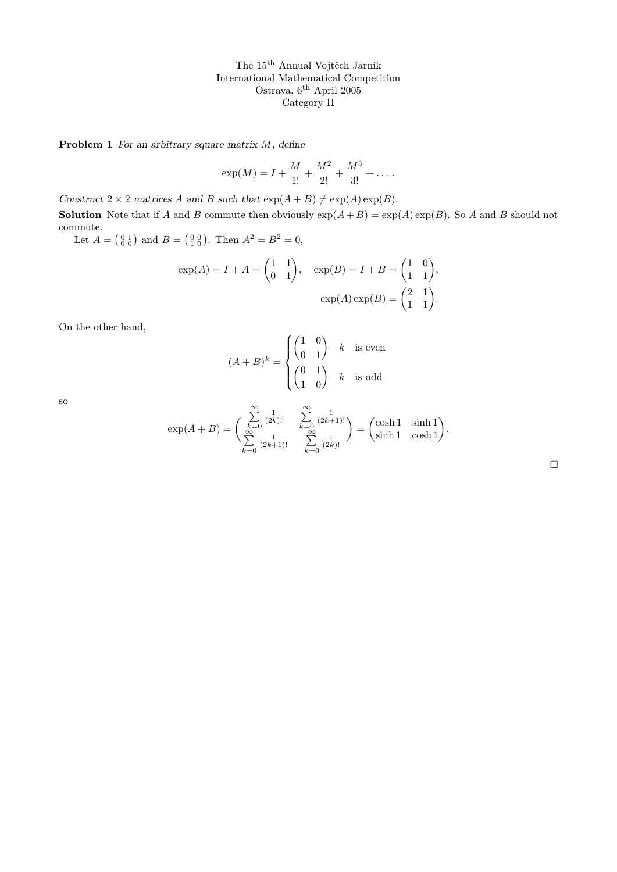The 15th Annual Vojtěch Jarník International Mathematical Competition Ostrava, 6th April 2005 Category II

Problem 1 For an arbitrary square matrix  $M$ , define

$$
\exp(M) = I + \frac{M}{1!} + \frac{M^2}{2!} + \frac{M^3}{3!} + \dots
$$

Construct  $2 \times 2$  matrices A and B such that  $\exp(A + B) \neq \exp(A) \exp(B)$ .

**Solution** Note that if A and B commute then obviously  $exp(A+B) = exp(A) exp(B)$ . So A and B should not commute.

Let  $A = \begin{pmatrix} 0 & 1 \\ 0 & 0 \end{pmatrix}$  and  $B = \begin{pmatrix} 0 & 0 \\ 1 & 0 \end{pmatrix}$ . Then  $A^2 = B^2 = 0$ ,

$$
\exp(A) = I + A = \begin{pmatrix} 1 & 1 \\ 0 & 1 \end{pmatrix}, \quad \exp(B) = I + B = \begin{pmatrix} 1 & 0 \\ 1 & 1 \end{pmatrix},
$$

$$
\exp(A) \exp(B) = \begin{pmatrix} 2 & 1 \\ 1 & 1 \end{pmatrix}.
$$

On the other hand,

$$
(A+B)^k = \begin{cases} \begin{pmatrix} 1 & 0 \\ 0 & 1 \end{pmatrix} & k \quad \text{is even} \\ \begin{pmatrix} 0 & 1 \\ 1 & 0 \end{pmatrix} & k \quad \text{is odd} \end{cases}
$$

so

$$
\exp(A+B) = \begin{pmatrix} \sum_{k=0}^{\infty} \frac{1}{(2k)!} & \sum_{k=0}^{\infty} \frac{1}{(2k+1)!} \\ \sum_{k=0}^{\infty} \frac{1}{(2k+1)!} & \sum_{k=0}^{\infty} \frac{1}{(2k)!} \end{pmatrix} = \begin{pmatrix} \cosh 1 & \sinh 1 \\ \sinh 1 & \cosh 1 \end{pmatrix}.
$$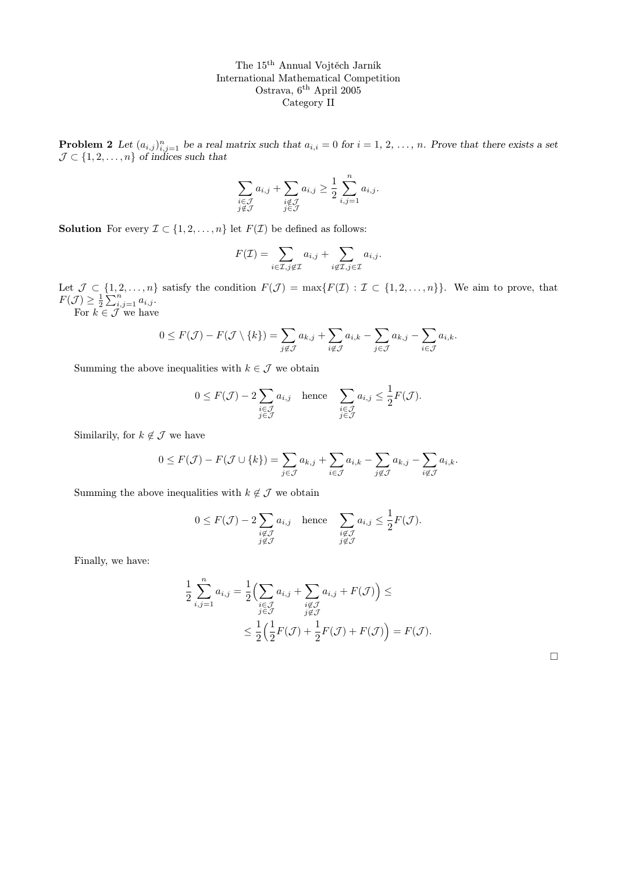The 15th Annual Vojtěch Jarník International Mathematical Competition Ostrava, 6<sup>th</sup> April 2005 Category II

**Problem 2** Let  $(a_{i,j})_{i,j=1}^n$  be a real matrix such that  $a_{i,i} = 0$  for  $i = 1, 2, ..., n$ . Prove that there exists a set  $\mathcal{J} \subset \{1, 2, \ldots, n\}$  of indices such that

$$
\sum_{\substack{i \in \mathcal{J} \\ j \notin \mathcal{J}}} a_{i,j} + \sum_{\substack{i \notin \mathcal{J} \\ j \in \mathcal{J}}} a_{i,j} \ge \frac{1}{2} \sum_{i,j=1}^n a_{i,j}.
$$

**Solution** For every  $\mathcal{I} \subset \{1, 2, ..., n\}$  let  $F(\mathcal{I})$  be defined as follows:

$$
F(\mathcal{I}) = \sum_{i \in \mathcal{I}, j \notin \mathcal{I}} a_{i,j} + \sum_{i \notin \mathcal{I}, j \in \mathcal{I}} a_{i,j}.
$$

Let  $\mathcal{J} \subset \{1, 2, \ldots, n\}$  satisfy the condition  $F(\mathcal{J}) = \max\{F(\mathcal{I}) : \mathcal{I} \subset \{1, 2, \ldots, n\}\}\.$  We aim to prove, that  $F(\mathcal{J}) \geq \frac{1}{2} \sum_{i,j=1}^n a_{i,j}.$ 

For  $k \in \mathcal{J}$  we have

$$
0 \leq F(\mathcal{J}) - F(\mathcal{J} \setminus \{k\}) = \sum_{j \notin \mathcal{J}} a_{k,j} + \sum_{i \notin \mathcal{J}} a_{i,k} - \sum_{j \in \mathcal{J}} a_{k,j} - \sum_{i \in \mathcal{J}} a_{i,k}.
$$

Summing the above inequalities with  $k \in \mathcal{J}$  we obtain

$$
0 \le F(\mathcal{J}) - 2 \sum_{\substack{i \in \mathcal{J} \\ j \in \mathcal{J}}} a_{i,j} \quad \text{hence} \quad \sum_{\substack{i \in \mathcal{J} \\ j \in \mathcal{J}}} a_{i,j} \le \frac{1}{2} F(\mathcal{J}).
$$

Similarily, for  $k \notin \mathcal{J}$  we have

$$
0 \leq F(\mathcal{J}) - F(\mathcal{J} \cup \{k\}) = \sum_{j \in \mathcal{J}} a_{k,j} + \sum_{i \in \mathcal{J}} a_{i,k} - \sum_{j \notin \mathcal{J}} a_{k,j} - \sum_{i \notin \mathcal{J}} a_{i,k}.
$$

Summing the above inequalities with  $k \notin \mathcal{J}$  we obtain

$$
0 \le F(\mathcal{J}) - 2 \sum_{\substack{i \notin \mathcal{J} \\ j \notin \mathcal{J}}} a_{i,j} \quad \text{hence} \quad \sum_{\substack{i \notin \mathcal{J} \\ j \notin \mathcal{J}}} a_{i,j} \le \frac{1}{2} F(\mathcal{J}).
$$

Finally, we have:

$$
\frac{1}{2} \sum_{i,j=1}^{n} a_{i,j} = \frac{1}{2} \Big( \sum_{\substack{i \in \mathcal{J} \\ j \in \mathcal{J}}} a_{i,j} + \sum_{\substack{i \notin \mathcal{J} \\ j \notin \mathcal{J}}} a_{i,j} + F(\mathcal{J}) \Big) \le
$$
\n
$$
\leq \frac{1}{2} \Big( \frac{1}{2} F(\mathcal{J}) + \frac{1}{2} F(\mathcal{J}) + F(\mathcal{J}) \Big) = F(\mathcal{J}).
$$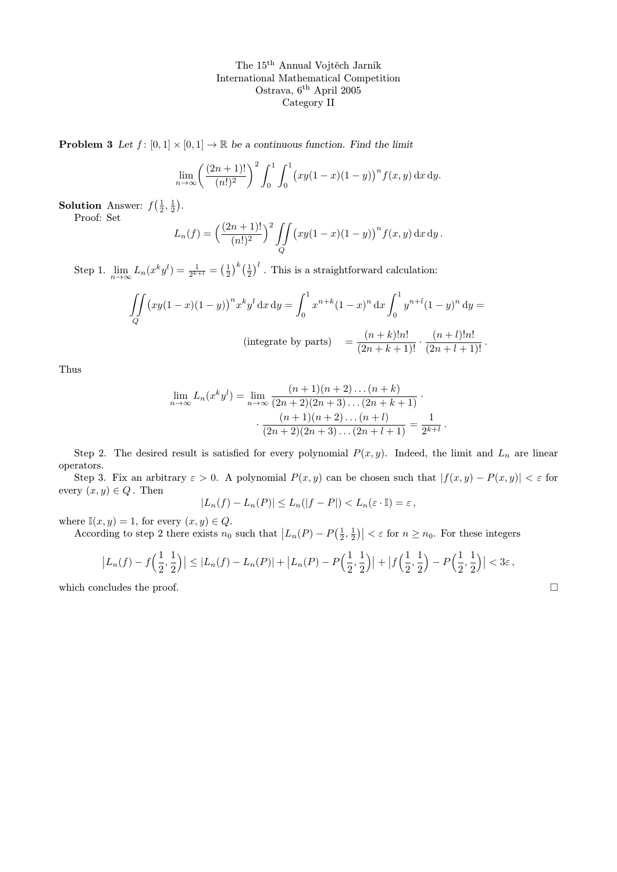The 15th Annual Vojtěch Jarník International Mathematical Competition Ostrava, 6<sup>th</sup> April 2005 Category II

**Problem 3** Let  $f : [0,1] \times [0,1] \rightarrow \mathbb{R}$  be a continuous function. Find the limit

$$
\lim_{n \to \infty} \left( \frac{(2n+1)!}{(n!)^2} \right)^2 \int_0^1 \int_0^1 (xy(1-x)(1-y))^n f(x,y) \, dx \, dy.
$$

**Solution** Answer:  $f(\frac{1}{2}, \frac{1}{2})$ .

Proof: Set

$$
L_n(f) = \left(\frac{(2n+1)!}{(n!)^2}\right)^2 \iint\limits_Q (xy(1-x)(1-y))^n f(x,y) dx dy.
$$

Step 1.  $\lim_{n \to \infty} L_n(x^k y^l) = \frac{1}{2^{k+l}} = \left(\frac{1}{2}\right)^k \left(\frac{1}{2}\right)^l$ . This is a straightforward calculation:

$$
\iint_{Q} (xy(1-x)(1-y))^{n} x^{k} y^{l} dx dy = \int_{0}^{1} x^{n+k} (1-x)^{n} dx \int_{0}^{1} y^{n+l} (1-y)^{n} dy =
$$
\n
$$
\text{(integrate by parts)} = \frac{(n+k)! n!}{(2n+k+1)!} \cdot \frac{(n+l)! n!}{(2n+l+1)!}.
$$

Thus

$$
\lim_{n \to \infty} L_n(x^k y^l) = \lim_{n \to \infty} \frac{(n+1)(n+2)\dots(n+k)}{(2n+2)(2n+3)\dots(2n+k+1)} \cdot \frac{(n+1)(n+2)\dots(n+l)}{(2n+2)(2n+3)\dots(2n+l+1)} = \frac{1}{2^{k+l}}.
$$

Step 2. The desired result is satisfied for every polynomial  $P(x, y)$ . Indeed, the limit and  $L_n$  are linear operators.

Step 3. Fix an arbitrary  $\varepsilon > 0$ . A polynomial  $P(x, y)$  can be chosen such that  $|f(x, y) - P(x, y)| < \varepsilon$  for every  $(x, y) \in Q$ . Then

$$
|L_n(f) - L_n(P)| \le L_n(|f - P|) < L_n(\varepsilon \cdot \mathbb{I}) = \varepsilon,
$$

where  $\mathbb{I}(x, y) = 1$ , for every  $(x, y) \in Q$ .

According to step 2 there exists  $n_0$  such that  $|L_n(P) - P(\frac{1}{2}, \frac{1}{2})| < \varepsilon$  for  $n \ge n_0$ . For these integers

$$
\left| L_n(f) - f\left(\frac{1}{2}, \frac{1}{2}\right) \right| \leq \left| L_n(f) - L_n(P) \right| + \left| L_n(P) - P\left(\frac{1}{2}, \frac{1}{2}\right) \right| + \left| f\left(\frac{1}{2}, \frac{1}{2}\right) - P\left(\frac{1}{2}, \frac{1}{2}\right) \right| < 3\varepsilon,
$$

which concludes the proof.  $\Box$